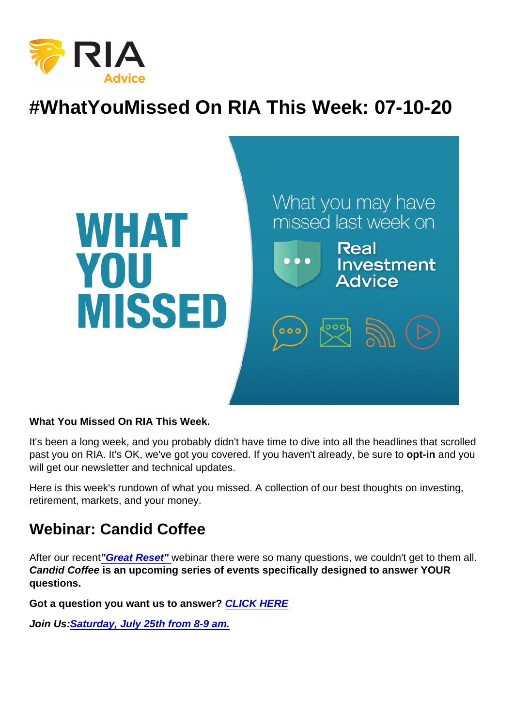# #WhatYouMissed On RIA This Week: 07-10-20

What You Missed On RIA This Week.

It's been a long week, and you probably didn't have time to dive into all the headlines that scrolled past you on RIA. It's OK, we've got you covered. If you haven't already, be sure to opt-in and you will get our newsletter and technical updates.

Here is this week's rundown of what you missed. A collection of our best thoughts on investing, retirement, markets, and your money.

#### Webinar: Candid Coffee

After our recent["Great Reset" w](https://youtu.be/P8aDNLNoxbQ)ebinar there were so many questions, we couldn't get to them all. Candid Coffee is an upcoming series of events specifically designed to answer YOUR questions.

Got a question you want us to answer? [CLICK HERE](mailto:questions@realinvestmentadvice.com)

Join Us: [Saturday, July 25th from 8-9 am.](https://register.gotowebinar.com/rt/8069640600037624590?source=RIA+Website)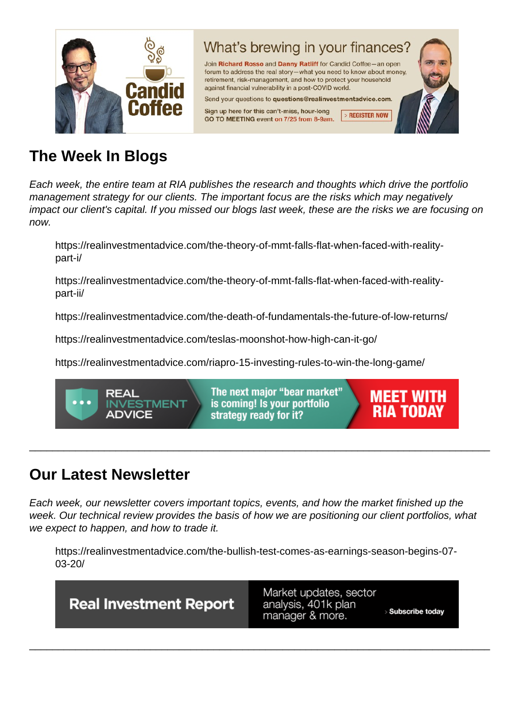# The Week In Blogs

Each week, the entire team at RIA publishes the research and thoughts which drive the portfolio management strategy for our clients. The important focus are the risks which may negatively impact our client's capital. If you missed our blogs last week, these are the risks we are focusing on now.

https://realinvestmentadvice.com/the-theory-of-mmt-falls-flat-when-faced-with-realitypart-i/

https://realinvestmentadvice.com/the-theory-of-mmt-falls-flat-when-faced-with-realitypart-ii/

https://realinvestmentadvice.com/the-death-of-fundamentals-the-future-of-low-returns/

https://realinvestmentadvice.com/teslas-moonshot-how-high-can-it-go/

https://realinvestmentadvice.com/riapro-15-investing-rules-to-win-the-long-game/

## Our Latest Newsletter

Each week, our newsletter covers important topics, events, and how the market finished up the week. Our technical review provides the basis of how we are positioning our client portfolios, what we expect to happen, and how to trade it.

\_\_\_\_\_\_\_\_\_\_\_\_\_\_\_\_\_\_\_\_\_\_\_\_\_\_\_\_\_\_\_\_\_\_\_\_\_\_\_\_\_\_\_\_\_\_\_\_\_\_\_\_\_\_\_\_\_\_\_\_\_\_\_\_\_\_\_\_\_\_\_\_\_\_\_\_\_\_\_\_

https://realinvestmentadvice.com/the-bullish-test-comes-as-earnings-season-begins-07- 03-20/

\_\_\_\_\_\_\_\_\_\_\_\_\_\_\_\_\_\_\_\_\_\_\_\_\_\_\_\_\_\_\_\_\_\_\_\_\_\_\_\_\_\_\_\_\_\_\_\_\_\_\_\_\_\_\_\_\_\_\_\_\_\_\_\_\_\_\_\_\_\_\_\_\_\_\_\_\_\_\_\_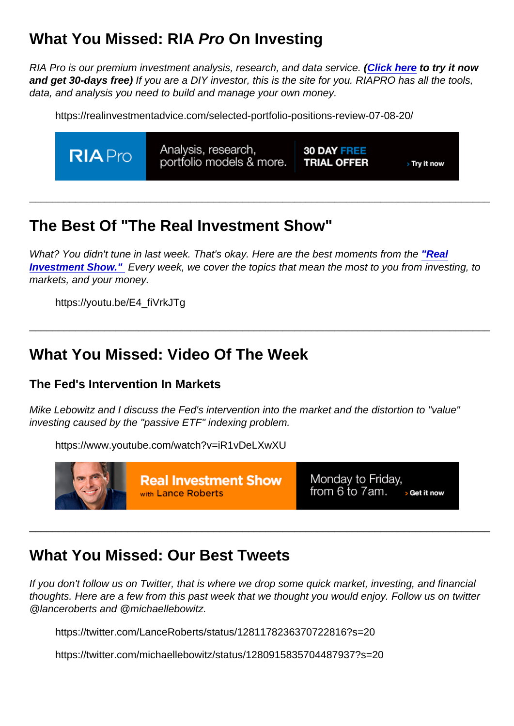# What You Missed: RIA Pro On Investing

RIA Pro is our premium investment analysis, research, and data service. [\(Click here](https://riapro.net/register) to try it now and get 30-days free) If you are a DIY investor, this is the site for you. RIAPRO has all the tools, data, and analysis you need to build and manage your own money.

https://realinvestmentadvice.com/selected-portfolio-positions-review-07-08-20/

## The Best Of "The Real Investment Show"

What? You didn't tune in last week. That's okay. Here are the best moments from the ["Real](https://www.youtube.com/channel/UCXVMMgEidXlrTM1coedg70A/videos) [Investment Show."](https://www.youtube.com/channel/UCXVMMgEidXlrTM1coedg70A/videos) Every week, we cover the topics that mean the most to you from investing, to markets, and your money.

\_\_\_\_\_\_\_\_\_\_\_\_\_\_\_\_\_\_\_\_\_\_\_\_\_\_\_\_\_\_\_\_\_\_\_\_\_\_\_\_\_\_\_\_\_\_\_\_\_\_\_\_\_\_\_\_\_\_\_\_\_\_\_\_\_\_\_\_\_\_\_\_\_\_\_\_\_\_\_\_

\_\_\_\_\_\_\_\_\_\_\_\_\_\_\_\_\_\_\_\_\_\_\_\_\_\_\_\_\_\_\_\_\_\_\_\_\_\_\_\_\_\_\_\_\_\_\_\_\_\_\_\_\_\_\_\_\_\_\_\_\_\_\_\_\_\_\_\_\_\_\_\_\_\_\_\_\_\_\_\_

https://youtu.be/E4\_fiVrkJTg

#### What You Missed: Video Of The Week

The Fed's Intervention In Markets

Mike Lebowitz and I discuss the Fed's intervention into the market and the distortion to "value" investing caused by the "passive ETF" indexing problem.

https://www.youtube.com/watch?v=iR1vDeLXwXU

## What You Missed: Our Best Tweets

If you don't follow us on Twitter, that is where we drop some quick market, investing, and financial thoughts. Here are a few from this past week that we thought you would enjoy. Follow us on twitter @lanceroberts and @michaellebowitz.

\_\_\_\_\_\_\_\_\_\_\_\_\_\_\_\_\_\_\_\_\_\_\_\_\_\_\_\_\_\_\_\_\_\_\_\_\_\_\_\_\_\_\_\_\_\_\_\_\_\_\_\_\_\_\_\_\_\_\_\_\_\_\_\_\_\_\_\_\_\_\_\_\_\_\_\_\_\_\_\_

https://twitter.com/LanceRoberts/status/1281178236370722816?s=20

https://twitter.com/michaellebowitz/status/1280915835704487937?s=20